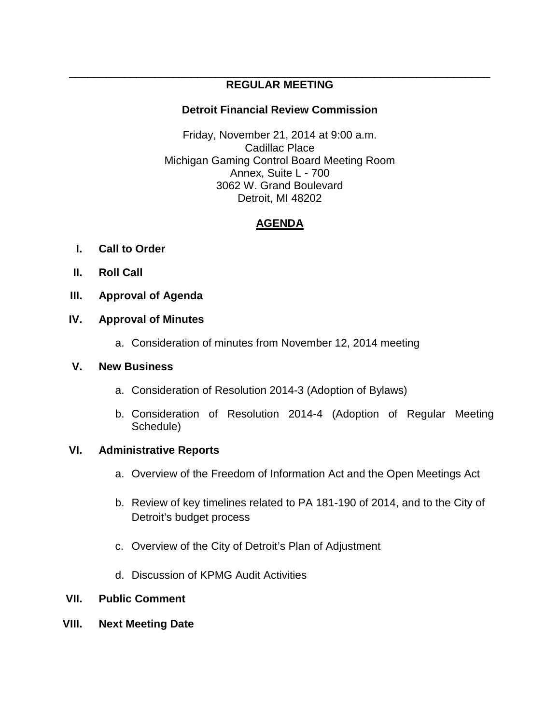#### \_\_\_\_\_\_\_\_\_\_\_\_\_\_\_\_\_\_\_\_\_\_\_\_\_\_\_\_\_\_\_\_\_\_\_\_\_\_\_\_\_\_\_\_\_\_\_\_\_\_\_\_\_\_\_\_\_\_\_\_\_\_\_\_\_\_\_\_\_ **REGULAR MEETING**

# **Detroit Financial Review Commission**

Friday, November 21, 2014 at 9:00 a.m. Cadillac Place Michigan Gaming Control Board Meeting Room Annex, Suite L - 700 3062 W. Grand Boulevard Detroit, MI 48202

# **AGENDA**

- **I. Call to Order**
- **II. Roll Call**
- **III. Approval of Agenda**

# **IV. Approval of Minutes**

a. Consideration of minutes from November 12, 2014 meeting

### **V. New Business**

- a. Consideration of Resolution 2014-3 (Adoption of Bylaws)
- b. Consideration of Resolution 2014-4 (Adoption of Regular Meeting Schedule)

# **VI. Administrative Reports**

- a. Overview of the Freedom of Information Act and the Open Meetings Act
- b. Review of key timelines related to PA 181-190 of 2014, and to the City of Detroit's budget process
- c. Overview of the City of Detroit's Plan of Adjustment
- d. Discussion of KPMG Audit Activities

# **VII. Public Comment**

**VIII. Next Meeting Date**